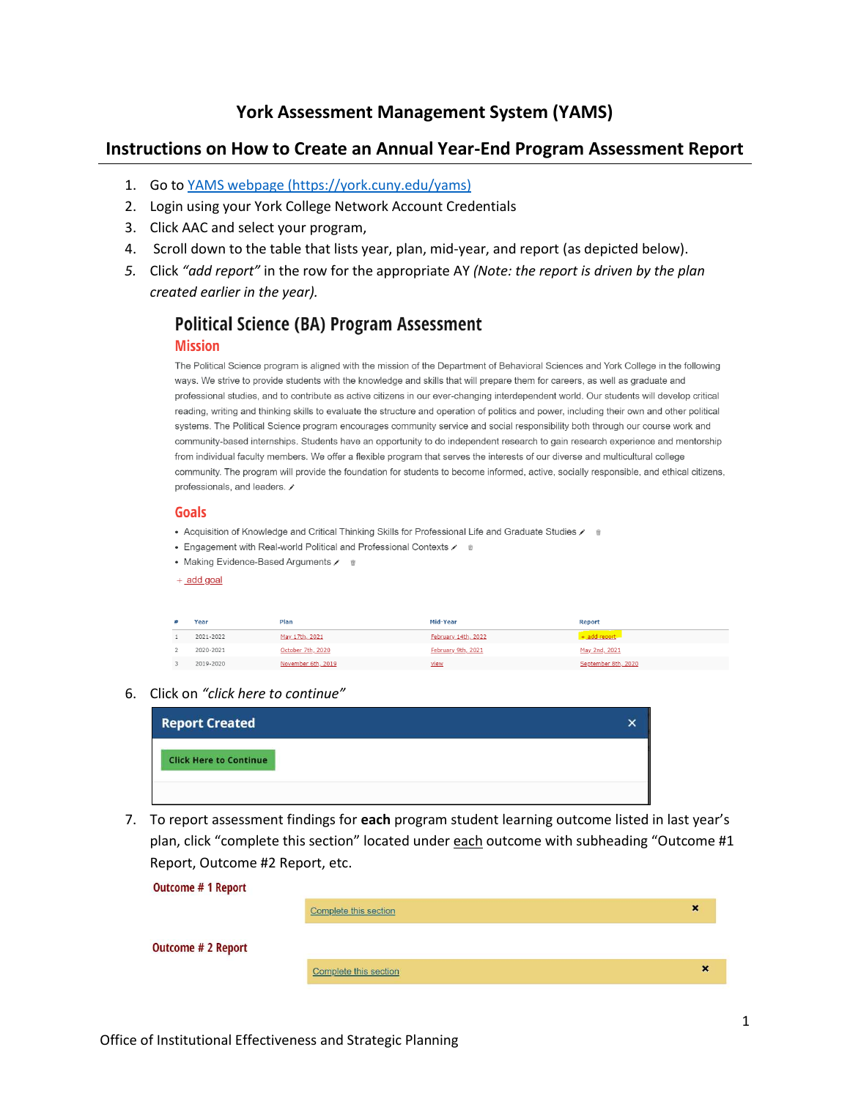## **York Assessment Management System (YAMS)**

## **Instructions on How to Create an Annual Year-End Program Assessment Report**

- 1. Go to [YAMS webpage](https://york.cuny.edu/yams) (https://york.cuny.edu/yams)
- 2. Login using your York College Network Account Credentials
- 3. Click AAC and select your program,
- 4. Scroll down to the table that lists year, plan, mid-year, and report (as depicted below).
- *5.* Click *"add report"* in the row for the appropriate AY *(Note: the report is driven by the plan created earlier in the year).*

# **Political Science (BA) Program Assessment**

#### **Mission**

The Political Science program is aligned with the mission of the Department of Behavioral Sciences and York College in the following ways. We strive to provide students with the knowledge and skills that will prepare them for careers, as well as graduate and professional studies, and to contribute as active citizens in our ever-changing interdependent world. Our students will develop critical reading, writing and thinking skills to evaluate the structure and operation of politics and power, including their own and other political systems. The Political Science program encourages community service and social responsibility both through our course work and community-based internships. Students have an opportunity to do independent research to gain research experience and mentorship from individual faculty members. We offer a flexible program that serves the interests of our diverse and multicultural college community. The program will provide the foundation for students to become informed, active, socially responsible, and ethical citizens, professionals, and leaders.

### **Goals**

- Acquisition of Knowledge and Critical Thinking Skills for Professional Life and Graduate Studies
- Engagement with Real-world Political and Professional Contexts  $\chi$  = #
- Making Evidence-Based Arguments / 6
- $+$  add goal

| Year      | Plan               | Mid-Year            | <b>Report</b>       |
|-----------|--------------------|---------------------|---------------------|
| 2021-2022 | May 17th, 2021     | February 14th, 2022 | $+$ add report      |
| 2020-2021 | October 7th, 2020  | February 9th, 2021  | May 2nd, 2021       |
| 2019-2020 | November 6th, 2019 | <u>view</u>         | September 8th, 2020 |

6. Click on *"click here to continue"*

| <b>Report Created</b>         | × |
|-------------------------------|---|
| <b>Click Here to Continue</b> |   |
|                               |   |

7. To report assessment findings for **each** program student learning outcome listed in last year's plan, click "complete this section" located under each outcome with subheading "Outcome #1 Report, Outcome #2 Report, etc.

| <b>Outcome # 1 Report</b> |                       |   |  |
|---------------------------|-----------------------|---|--|
|                           | Complete this section | × |  |
| <b>Outcome # 2 Report</b> |                       |   |  |
|                           | Complete this section | × |  |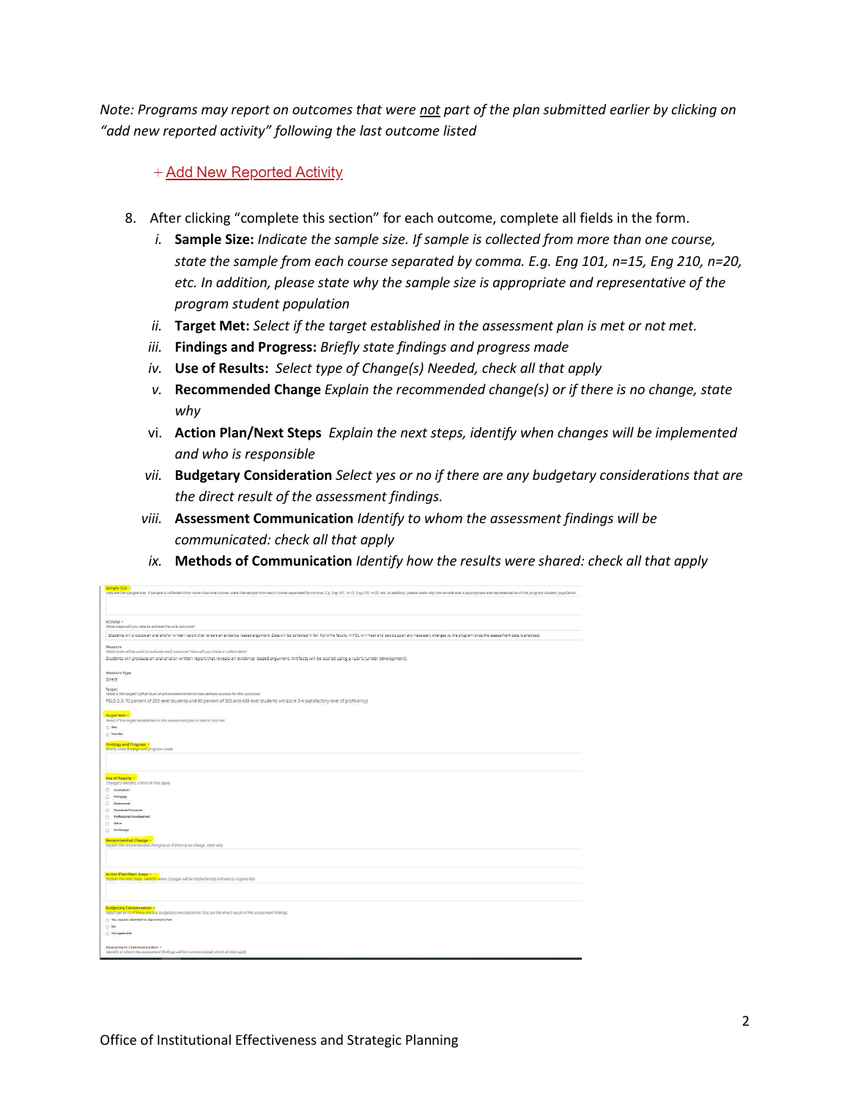*Note: Programs may report on outcomes that were not part of the plan submitted earlier by clicking on "add new reported activity" following the last outcome listed*

+ Add New Reported Activity

- 8. After clicking "complete this section" for each outcome, complete all fields in the form.
	- *i.* **Sample Size:** *Indicate the sample size. If sample is collected from more than one course, state the sample from each course separated by comma. E.g. Eng 101, n=15, Eng 210, n=20, etc. In addition, please state why the sample size is appropriate and representative of the program student population*
	- *ii.* **Target Met:** *Select if the target established in the assessment plan is met or not met.*
	- *iii.* **Findings and Progress:** *Briefly state findings and progress made*
	- *iv.* **Use of Results:** *Select type of Change(s) Needed, check all that apply*
	- *v.* **Recommended Change** *Explain the recommended change(s) or if there is no change, state why*
	- vi. **Action Plan/Next Steps** *Explain the next steps, identify when changes will be implemented and who is responsible*
	- *vii.* **Budgetary Consideration** *Select yes or no if there are any budgetary considerations that are the direct result of the assessment findings.*
	- *viii.* **Assessment Communication** *Identify to whom the assessment findings will be communicated: check all that apply*
	- *ix.* **Methods of Communication** *Identify how the results were shared: check all that apply*

| Indicate the sample size. If sample is collected from more than one course, state the sample from each course separated by comma. E.g. Eng 101, n=15, Eng 210, n=20, etc. In addition, please state why the sample size is app                                                         |
|----------------------------------------------------------------------------------------------------------------------------------------------------------------------------------------------------------------------------------------------------------------------------------------|
| Activity .                                                                                                                                                                                                                                                                             |
| What steps will you take to achieve the unit outcome?<br>Students will produce an oral and/or written report that reveals an evidence-based argument. Data will be collected in fall. Full-time faculty in POL will meet and decide upon any necessary changes to the program once the |
|                                                                                                                                                                                                                                                                                        |
| Measure<br>What tools will be used to evaluate each outcome? How will you track or collect data?                                                                                                                                                                                       |
| Students will produce an oral and/or written report that reveals an evidence -based argument. Artifacts will be scored using a rubric (under development).                                                                                                                             |
| Measure Type                                                                                                                                                                                                                                                                           |
| <b>Direct</b>                                                                                                                                                                                                                                                                          |
| Target<br>What is the target? (What level of achievement/criteria/rate defines success for this outcome)<br>PSLO 2.3: 70 percent of 200 level students and 80 percent of 300 and 400 level students will score 3-4 (satisfactory level of proficiency)                                 |
|                                                                                                                                                                                                                                                                                        |
| Target Met<br>Select if the target established in the assessment plan is met or not met.                                                                                                                                                                                               |
| O Met                                                                                                                                                                                                                                                                                  |
| C Not Met                                                                                                                                                                                                                                                                              |
| <b>Findings and Progress .</b><br>Briefly state findings and progress made                                                                                                                                                                                                             |
| Use of Results<br>Change(s) Needed, Check all that apply<br>Curriculum<br>Pedagogy<br>Assessment<br>Procedure/Processes<br>Professional Development<br>Other<br>No Change<br>Recommended Change +<br>Explain the recommended change(s) or if there is no change, state why             |
| <b>Action Plan/Next Steps ·</b><br>Explain the next steps, identify when changes will be implemented and who is responsible                                                                                                                                                            |
| <b>Budgetary Consideration +</b><br>Select yes or no if there are any budgetary considerations that are the direct result of the assessment findings.<br>Tes, request submitted to department chair<br>C3.569<br>Not Applicable                                                        |
| Assessment Communication +<br>Identify to whom the assessment findings will be communicated: check all that apply                                                                                                                                                                      |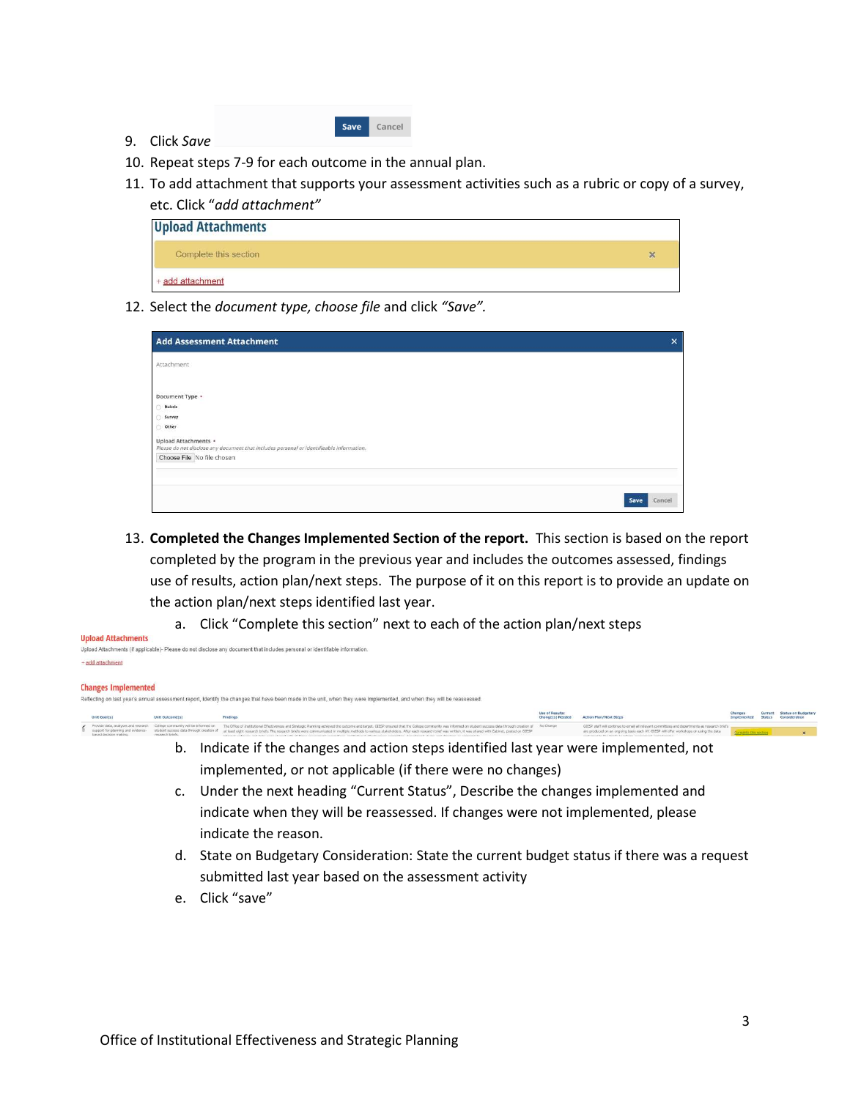|--|

- 9. Click *Save*
- 10. Repeat steps 7-9 for each outcome in the annual plan.
- 11. To add attachment that supports your assessment activities such as a rubric or copy of a survey, etc. Click "*add attachment"*

| <b>Upload Attachments</b> |   |  |  |
|---------------------------|---|--|--|
| Complete this section     | × |  |  |
| + add attachment          |   |  |  |

12. Select the *document type, choose file* and click *"Save".*

| <b>Add Assessment Attachment</b>                                                                                 |      | $\pmb{\times}$ |
|------------------------------------------------------------------------------------------------------------------|------|----------------|
| Attachment                                                                                                       |      |                |
|                                                                                                                  |      |                |
| Document Type .                                                                                                  |      |                |
| Rubric                                                                                                           |      |                |
| Survey                                                                                                           |      |                |
| Other<br>Ò                                                                                                       |      |                |
| Upload Attachments ·<br>Please do not disclose any document that includes personal or identifieable information. |      |                |
| Choose File No file chosen                                                                                       |      |                |
|                                                                                                                  |      |                |
|                                                                                                                  |      |                |
|                                                                                                                  | Save | Cancel         |

- 13. **Completed the Changes Implemented Section of the report.** This section is based on the report completed by the program in the previous year and includes the outcomes assessed, findings use of results, action plan/next steps. The purpose of it on this report is to provide an update on the action plan/next steps identified last year.
	- a. Click "Complete this section" next to each of the action plan/next steps

| Upidau Attatilijents                                                                                                        |
|-----------------------------------------------------------------------------------------------------------------------------|
| Upload Attachments (if applicable)- Please do not disclose any document that includes personal or identifiable information. |
| + add attachment                                                                                                            |

#### **Changes Implemented**

**Holond Attaching** 

| Unit Goal(s)            | Unit Outcome(s)                                                                                                                                                              | <b>Findings</b>                                                                                                                                                                                                                                                                                                                                                                                                                                                                                                                                                                                | Use of Results:<br>Change(s) Needed | <b>Action Plan/Next Steps</b>                                                                                                                                                             |                       | <b>Status on Budgetary</b> |
|-------------------------|------------------------------------------------------------------------------------------------------------------------------------------------------------------------------|------------------------------------------------------------------------------------------------------------------------------------------------------------------------------------------------------------------------------------------------------------------------------------------------------------------------------------------------------------------------------------------------------------------------------------------------------------------------------------------------------------------------------------------------------------------------------------------------|-------------------------------------|-------------------------------------------------------------------------------------------------------------------------------------------------------------------------------------------|-----------------------|----------------------------|
| hassel dariators making | Provide data, analyses and research College community will be informed on<br>support for planning and evidence- student success data through creation of<br>rossoarch briefs | The Office of Institutional Effectiveness and Strategic Flaming achieved the outcome and target. OIESP ensured that the College community was informed on student success data through creation of No Change<br>at least eight research briefs. The research briefs were communicated in multiple methods to various stakeholders. After each research brief was written. It was shared with Cabinet, costed on OEESP<br>the children's contribution of the contribution of controller and in the children's controller and controller and children's controller and children's controller and |                                     | ODESP staff will continue to email all relevant committees and departments as research briefs.<br>are produced on an origoing basis each AY. OEESP will offer workshops on using the data | riciete this section. |                            |
|                         | b.                                                                                                                                                                           | Indicate if the changes and action steps identified last year were implemented, not                                                                                                                                                                                                                                                                                                                                                                                                                                                                                                            |                                     |                                                                                                                                                                                           |                       |                            |

- c. Under the next heading "Current Status", Describe the changes implemented and indicate when they will be reassessed. If changes were not implemented, please indicate the reason.
- d. State on Budgetary Consideration: State the current budget status if there was a request submitted last year based on the assessment activity
- e. Click "save"